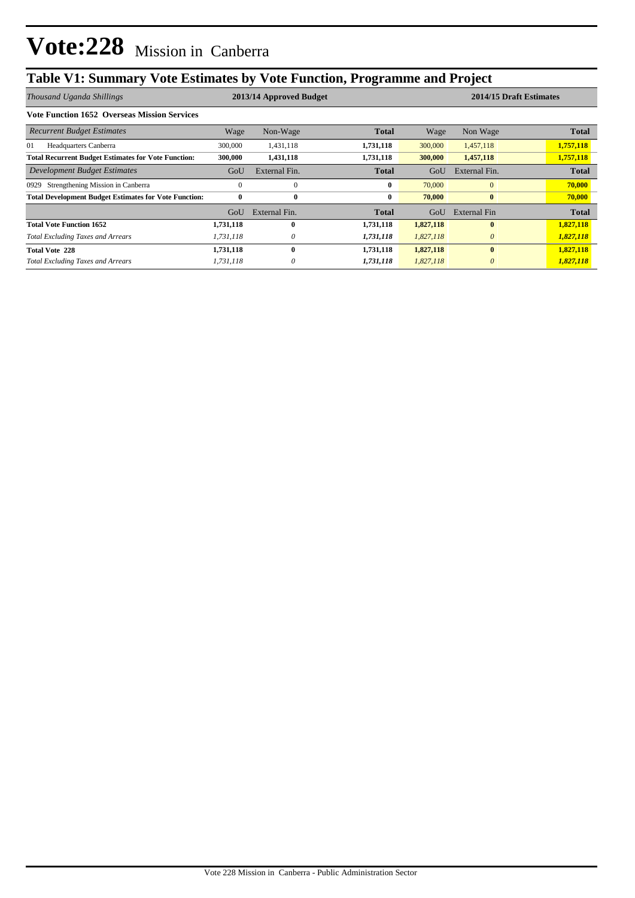# **Table V1: Summary Vote Estimates by Vote Function, Programme and Project**

| Thousand Uganda Shillings                                    |           | 2013/14 Approved Budget |              |           | 2014/15 Draft Estimates |              |  |  |
|--------------------------------------------------------------|-----------|-------------------------|--------------|-----------|-------------------------|--------------|--|--|
| <b>Vote Function 1652 Overseas Mission Services</b>          |           |                         |              |           |                         |              |  |  |
| <b>Recurrent Budget Estimates</b>                            | Wage      | Non-Wage                | <b>Total</b> | Wage      | Non Wage                | <b>Total</b> |  |  |
| 01<br>Headquarters Canberra                                  | 300,000   | 1,431,118               | 1,731,118    | 300,000   | 1,457,118               | 1,757,118    |  |  |
| <b>Total Recurrent Budget Estimates for Vote Function:</b>   | 300,000   | 1,431,118               | 1,731,118    | 300,000   | 1,457,118               | 1,757,118    |  |  |
| Development Budget Estimates                                 | GoU       | External Fin.           | <b>Total</b> | GoU       | External Fin.           | <b>Total</b> |  |  |
| Strengthening Mission in Canberra<br>0929                    | $\theta$  | $\theta$                | 0            | 70,000    | $\mathbf{0}$            | 70,000       |  |  |
| <b>Total Development Budget Estimates for Vote Function:</b> | $\bf{0}$  | $\bf{0}$                | 0            | 70,000    | $\bf{0}$                | 70,000       |  |  |
|                                                              | GoU       | External Fin.           | Total        | GoU       | External Fin            | <b>Total</b> |  |  |
| <b>Total Vote Function 1652</b>                              | 1,731,118 | 0                       | 1,731,118    | 1,827,118 | $\mathbf{0}$            | 1,827,118    |  |  |
| <b>Total Excluding Taxes and Arrears</b>                     | 1,731,118 | 0                       | 1,731,118    | 1,827,118 | $\theta$                | 1,827,118    |  |  |
| <b>Total Vote 228</b>                                        | 1,731,118 | 0                       | 1,731,118    | 1,827,118 | $\mathbf{0}$            | 1,827,118    |  |  |
| <b>Total Excluding Taxes and Arrears</b>                     | 1,731,118 |                         | 1,731,118    | 1,827,118 | $\theta$                | 1,827,118    |  |  |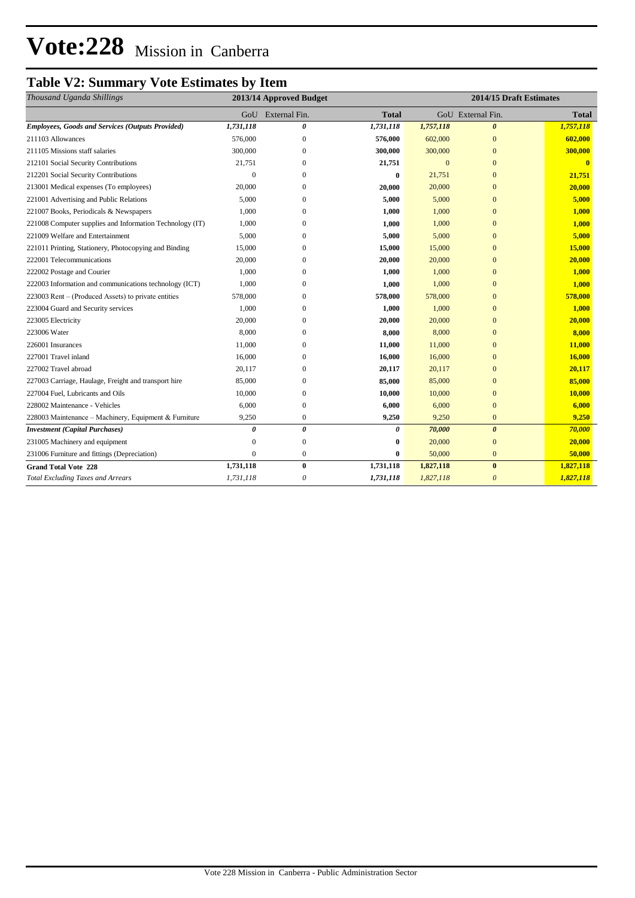# **Vote:228** Mission in Canberra

### **Table V2: Summary Vote Estimates by Item**

| Thousand Uganda Shillings                                | 2013/14 Approved Budget |                       | 2014/15 Draft Estimates |              |                       |              |
|----------------------------------------------------------|-------------------------|-----------------------|-------------------------|--------------|-----------------------|--------------|
|                                                          | GoU                     | External Fin.         | <b>Total</b>            |              | GoU External Fin.     | <b>Total</b> |
| <b>Employees, Goods and Services (Outputs Provided)</b>  | 1,731,118               | 0                     | 1,731,118               | 1,757,118    | $\theta$              | 1,757,118    |
| 211103 Allowances                                        | 576,000                 | $\mathbf{0}$          | 576,000                 | 602,000      | $\mathbf{0}$          | 602,000      |
| 211105 Missions staff salaries                           | 300,000                 | $\mathbf{0}$          | 300,000                 | 300,000      | $\mathbf{0}$          | 300,000      |
| 212101 Social Security Contributions                     | 21,751                  | $\mathbf{0}$          | 21,751                  | $\mathbf{0}$ | $\overline{0}$        | $\bf{0}$     |
| 212201 Social Security Contributions                     | $\Omega$                | $\Omega$              | $\boldsymbol{0}$        | 21,751       | $\mathbf{0}$          | 21,751       |
| 213001 Medical expenses (To employees)                   | 20,000                  | $\Omega$              | 20,000                  | 20,000       | $\mathbf{0}$          | 20,000       |
| 221001 Advertising and Public Relations                  | 5,000                   | $\Omega$              | 5,000                   | 5,000        | $\mathbf{0}$          | 5,000        |
| 221007 Books, Periodicals & Newspapers                   | 1,000                   | $\mathbf{0}$          | 1,000                   | 1,000        | $\overline{0}$        | 1,000        |
| 221008 Computer supplies and Information Technology (IT) | 1,000                   | $\Omega$              | 1,000                   | 1,000        | $\mathbf{0}$          | 1,000        |
| 221009 Welfare and Entertainment                         | 5,000                   | $\Omega$              | 5,000                   | 5,000        | $\mathbf{0}$          | 5,000        |
| 221011 Printing, Stationery, Photocopying and Binding    | 15,000                  | 0                     | 15,000                  | 15,000       | $\mathbf{0}$          | 15,000       |
| 222001 Telecommunications                                | 20,000                  | $\mathbf{0}$          | 20,000                  | 20,000       | $\overline{0}$        | 20,000       |
| 222002 Postage and Courier                               | 1,000                   | $\mathbf{0}$          | 1,000                   | 1,000        | $\overline{0}$        | 1,000        |
| 222003 Information and communications technology (ICT)   | 1,000                   | $\mathbf{0}$          | 1,000                   | 1,000        | $\overline{0}$        | 1,000        |
| 223003 Rent – (Produced Assets) to private entities      | 578,000                 | 0                     | 578,000                 | 578,000      | $\mathbf{0}$          | 578,000      |
| 223004 Guard and Security services                       | 1,000                   | $\Omega$              | 1,000                   | 1,000        | $\mathbf{0}$          | 1,000        |
| 223005 Electricity                                       | 20,000                  | $\mathbf{0}$          | 20,000                  | 20,000       | $\bf{0}$              | 20,000       |
| 223006 Water                                             | 8,000                   | $\mathbf{0}$          | 8,000                   | 8,000        | $\mathbf{0}$          | 8,000        |
| 226001 Insurances                                        | 11,000                  | $\Omega$              | 11,000                  | 11,000       | $\mathbf{0}$          | 11,000       |
| 227001 Travel inland                                     | 16,000                  | $\mathbf{0}$          | 16,000                  | 16,000       | $\mathbf{0}$          | 16,000       |
| 227002 Travel abroad                                     | 20,117                  | $\Omega$              | 20,117                  | 20,117       | $\overline{0}$        | 20,117       |
| 227003 Carriage, Haulage, Freight and transport hire     | 85,000                  | $\mathbf{0}$          | 85,000                  | 85,000       | $\overline{0}$        | 85,000       |
| 227004 Fuel, Lubricants and Oils                         | 10,000                  | $\mathbf{0}$          | 10,000                  | 10,000       | $\overline{0}$        | 10,000       |
| 228002 Maintenance - Vehicles                            | 6,000                   | $\mathbf{0}$          | 6,000                   | 6,000        | $\overline{0}$        | 6,000        |
| 228003 Maintenance - Machinery, Equipment & Furniture    | 9,250                   | $\boldsymbol{0}$      | 9,250                   | 9,250        | $\mathbf{0}$          | 9,250        |
| <b>Investment</b> (Capital Purchases)                    | 0                       | $\boldsymbol{\theta}$ | 0                       | 70,000       | $\boldsymbol{\theta}$ | 70,000       |
| 231005 Machinery and equipment                           | $\Omega$                | $\boldsymbol{0}$      | $\boldsymbol{0}$        | 20,000       | $\mathbf{0}$          | 20,000       |
| 231006 Furniture and fittings (Depreciation)             | $\mathbf{0}$            | $\mathbf{0}$          | $\mathbf{0}$            | 50,000       | $\overline{0}$        | 50,000       |
| <b>Grand Total Vote 228</b>                              | 1,731,118               | $\bf{0}$              | 1,731,118               | 1,827,118    | $\bf{0}$              | 1,827,118    |
| <b>Total Excluding Taxes and Arrears</b>                 | 1,731,118               | $\boldsymbol{\theta}$ | 1,731,118               | 1,827,118    | $\theta$              | 1,827,118    |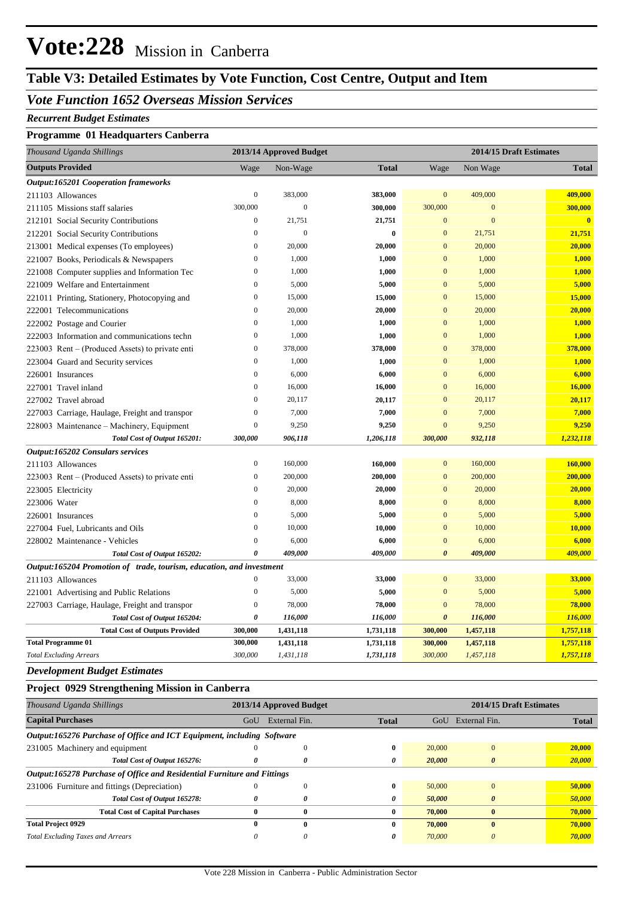# **Vote:228** Mission in Canberra

## **Table V3: Detailed Estimates by Vote Function, Cost Centre, Output and Item**

### *Vote Function 1652 Overseas Mission Services*

#### *Recurrent Budget Estimates*

#### **Programme 01 Headquarters Canberra**

| Thousand Uganda Shillings                                            |                  | 2013/14 Approved Budget<br>2014/15 Draft Estimates |              |                       |              |                         |
|----------------------------------------------------------------------|------------------|----------------------------------------------------|--------------|-----------------------|--------------|-------------------------|
| <b>Outputs Provided</b>                                              | Wage             | Non-Wage                                           | <b>Total</b> | Wage                  | Non Wage     | <b>Total</b>            |
| <b>Output:165201 Cooperation frameworks</b>                          |                  |                                                    |              |                       |              |                         |
| 211103 Allowances                                                    | $\boldsymbol{0}$ | 383,000                                            | 383,000      | $\mathbf{0}$          | 409,000      | 409,000                 |
| 211105 Missions staff salaries                                       | 300,000          | $\overline{0}$                                     | 300,000      | 300,000               | $\mathbf{0}$ | 300,000                 |
| 212101 Social Security Contributions                                 | $\boldsymbol{0}$ | 21,751                                             | 21,751       | $\mathbf{0}$          | $\mathbf{0}$ | $\overline{\mathbf{0}}$ |
| 212201 Social Security Contributions                                 | $\boldsymbol{0}$ | $\boldsymbol{0}$                                   | $\bf{0}$     | $\mathbf{0}$          | 21,751       | 21,751                  |
| 213001 Medical expenses (To employees)                               | $\overline{0}$   | 20,000                                             | 20,000       | $\mathbf{0}$          | 20,000       | 20,000                  |
| 221007 Books, Periodicals & Newspapers                               | $\bf{0}$         | 1,000                                              | 1,000        | $\mathbf{0}$          | 1,000        | 1,000                   |
| 221008 Computer supplies and Information Tec                         | $\mathbf{0}$     | 1,000                                              | 1,000        | $\overline{0}$        | 1,000        | 1,000                   |
| 221009 Welfare and Entertainment                                     | $\boldsymbol{0}$ | 5,000                                              | 5,000        | $\mathbf{0}$          | 5,000        | 5,000                   |
| 221011 Printing, Stationery, Photocopying and                        | $\boldsymbol{0}$ | 15,000                                             | 15,000       | $\mathbf{0}$          | 15,000       | 15,000                  |
| 222001 Telecommunications                                            | $\mathbf{0}$     | 20,000                                             | 20,000       | $\overline{0}$        | 20,000       | 20,000                  |
| 222002 Postage and Courier                                           | $\overline{0}$   | 1,000                                              | 1,000        | $\mathbf{0}$          | 1,000        | 1,000                   |
| 222003 Information and communications techn                          | $\boldsymbol{0}$ | 1,000                                              | 1,000        | $\mathbf{0}$          | 1,000        | 1,000                   |
| 223003 Rent – (Produced Assets) to private enti                      | $\mathbf{0}$     | 378,000                                            | 378,000      | $\mathbf{0}$          | 378,000      | 378,000                 |
| 223004 Guard and Security services                                   | $\bf{0}$         | 1,000                                              | 1,000        | $\bf{0}$              | 1,000        | 1,000                   |
| 226001 Insurances                                                    | $\mathbf{0}$     | 6,000                                              | 6,000        | $\overline{0}$        | 6,000        | 6,000                   |
| 227001 Travel inland                                                 | $\overline{0}$   | 16,000                                             | 16,000       | $\overline{0}$        | 16,000       | 16,000                  |
| 227002 Travel abroad                                                 | $\boldsymbol{0}$ | 20,117                                             | 20,117       | $\mathbf{0}$          | 20,117       | 20,117                  |
| 227003 Carriage, Haulage, Freight and transpor                       | $\overline{0}$   | 7,000                                              | 7,000        | $\overline{0}$        | 7,000        | 7,000                   |
| 228003 Maintenance – Machinery, Equipment                            | $\boldsymbol{0}$ | 9,250                                              | 9,250        | $\mathbf{0}$          | 9,250        | 9,250                   |
| Total Cost of Output 165201:                                         | 300,000          | 906,118                                            | 1,206,118    | 300,000               | 932,118      | 1,232,118               |
| <b>Output:165202 Consulars services</b>                              |                  |                                                    |              |                       |              |                         |
| 211103 Allowances                                                    | $\boldsymbol{0}$ | 160,000                                            | 160,000      | $\bf{0}$              | 160,000      | 160,000                 |
| 223003 Rent – (Produced Assets) to private enti                      | $\mathbf{0}$     | 200,000                                            | 200,000      | $\mathbf{0}$          | 200,000      | 200,000                 |
| 223005 Electricity                                                   | $\mathbf{0}$     | 20,000                                             | 20,000       | $\mathbf{0}$          | 20,000       | 20,000                  |
| 223006 Water                                                         | $\boldsymbol{0}$ | 8,000                                              | 8,000        | $\mathbf{0}$          | 8,000        | 8,000                   |
| 226001 Insurances                                                    | $\mathbf{0}$     | 5,000                                              | 5,000        | $\mathbf{0}$          | 5,000        | 5,000                   |
| 227004 Fuel, Lubricants and Oils                                     | $\boldsymbol{0}$ | 10,000                                             | 10,000       | $\mathbf{0}$          | 10,000       | 10,000                  |
| 228002 Maintenance - Vehicles                                        | $\overline{0}$   | 6,000                                              | 6,000        | $\boldsymbol{0}$      | 6,000        | 6,000                   |
| Total Cost of Output 165202:                                         | 0                | 409,000                                            | 409,000      | $\boldsymbol{\theta}$ | 409,000      | 409,000                 |
| Output:165204 Promotion of trade, tourism, education, and investment |                  |                                                    |              |                       |              |                         |
| 211103 Allowances                                                    | $\mathbf{0}$     | 33,000                                             | 33,000       | $\mathbf{0}$          | 33,000       | 33,000                  |
| 221001 Advertising and Public Relations                              | $\boldsymbol{0}$ | 5,000                                              | 5,000        | $\mathbf{0}$          | 5,000        | 5,000                   |
| 227003 Carriage, Haulage, Freight and transpor                       | $\boldsymbol{0}$ | 78,000                                             | 78,000       | $\boldsymbol{0}$      | 78,000       | 78,000                  |
| Total Cost of Output 165204:                                         | 0                | 116,000                                            | 116,000      | $\boldsymbol{\theta}$ | 116,000      | 116,000                 |
| <b>Total Cost of Outputs Provided</b>                                | 300,000          | 1,431,118                                          | 1,731,118    | 300,000               | 1,457,118    | 1,757,118               |
| <b>Total Programme 01</b>                                            | 300,000          | 1,431,118                                          | 1,731,118    | 300,000               | 1,457,118    | 1,757,118               |
| <b>Total Excluding Arrears</b>                                       | 300,000          | 1,431,118                                          | 1,731,118    | 300,000               | 1,457,118    | 1,757,118               |

*Development Budget Estimates*

#### **Project 0929 Strengthening Mission in Canberra**

| Thousand Uganda Shillings                                               | 2014/15 Draft Estimates<br>2013/14 Approved Budget |               |              |        |                       |              |  |  |
|-------------------------------------------------------------------------|----------------------------------------------------|---------------|--------------|--------|-----------------------|--------------|--|--|
| <b>Capital Purchases</b>                                                | GoU                                                | External Fin. | <b>Total</b> | GoU    | External Fin.         | <b>Total</b> |  |  |
| Output:165276 Purchase of Office and ICT Equipment, including Software  |                                                    |               |              |        |                       |              |  |  |
| 231005 Machinery and equipment                                          |                                                    |               | $\mathbf{0}$ | 20,000 | $\Omega$              | 20,000       |  |  |
| Total Cost of Output 165276:                                            | 0                                                  | 0             | 0            | 20,000 | $\theta$              | 20,000       |  |  |
| Output:165278 Purchase of Office and Residential Furniture and Fittings |                                                    |               |              |        |                       |              |  |  |
| 231006 Furniture and fittings (Depreciation)                            |                                                    | $\Omega$      | $\mathbf{0}$ | 50,000 | $\mathbf{0}$          | 50,000       |  |  |
| Total Cost of Output 165278:                                            | 0                                                  | 0             | 0            | 50,000 | $\boldsymbol{\theta}$ | 50,000       |  |  |
| <b>Total Cost of Capital Purchases</b>                                  | $\bf{0}$                                           | 0             | $\bf{0}$     | 70,000 | $\mathbf{0}$          | 70,000       |  |  |
| <b>Total Project 0929</b>                                               | 0                                                  | $\mathbf{0}$  | $\mathbf{0}$ | 70,000 | $\mathbf{0}$          | 70,000       |  |  |
| <b>Total Excluding Taxes and Arrears</b>                                | 0                                                  | 0             | 0            | 70,000 | 0                     | 70,000       |  |  |